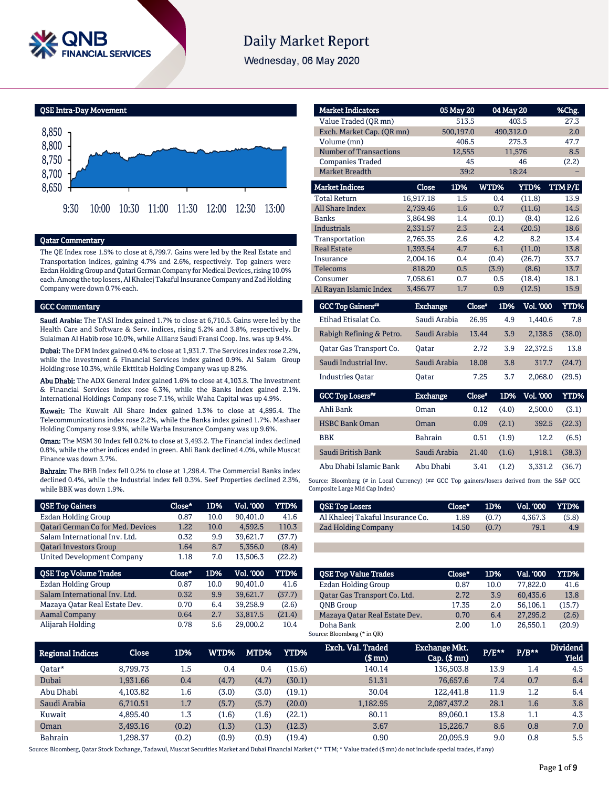

# **Daily Market Report**

Wednesday, 06 May 2020

QSE Intra-Day Movement



## Qatar Commentary

The QE Index rose 1.5% to close at 8,799.7. Gains were led by the Real Estate and Transportation indices, gaining 4.7% and 2.6%, respectively. Top gainers were Ezdan Holding Group and Qatari German Company for Medical Devices, rising 10.0% each. Among the top losers, Al Khaleej Takaful Insurance Company and Zad Holding Company were down 0.7% each.

#### GCC Commentary

Saudi Arabia: The TASI Index gained 1.7% to close at 6,710.5. Gains were led by the Health Care and Software & Serv. indices, rising 5.2% and 3.8%, respectively. Dr Sulaiman Al Habib rose 10.0%, while Allianz Saudi Fransi Coop. Ins. was up 9.4%.

Dubai: The DFM Index gained 0.4% to close at 1,931.7. The Services index rose 2.2%, while the Investment & Financial Services index gained 0.9%. Al Salam Group Holding rose 10.3%, while Ekttitab Holding Company was up 8.2%.

Abu Dhabi: The ADX General Index gained 1.6% to close at 4,103.8. The Investment & Financial Services index rose 6.3%, while the Banks index gained 2.1%. International Holdings Company rose 7.1%, while Waha Capital was up 4.9%.

Kuwait: The Kuwait All Share Index gained 1.3% to close at 4,895.4. The Telecommunications index rose 2.2%, while the Banks index gained 1.7%. Mashaer Holding Company rose 9.9%, while Warba Insurance Company was up 9.6%.

Oman: The MSM 30 Index fell 0.2% to close at 3,493.2. The Financial index declined 0.8%, while the other indices ended in green. Ahli Bank declined 4.0%, while Muscat Finance was down 3.7%.

Bahrain: The BHB Index fell 0.2% to close at 1,298.4. The Commercial Banks index declined 0.4%, while the Industrial index fell 0.3%. Seef Properties declined 2.3%, while BBK was down 1.9%.

| <b>QSE Top Gainers</b>                   | Close* | 1D%  | <b>Vol. '000</b> | YTD%   |
|------------------------------------------|--------|------|------------------|--------|
| <b>Ezdan Holding Group</b>               | 0.87   | 10.0 | 90.401.0         | 41.6   |
| <b>Qatari German Co for Med. Devices</b> | 1.22   | 10.0 | 4.592.5          | 110.3  |
| Salam International Inv. Ltd.            | 0.32   | 9.9  | 39,621.7         | (37.7) |
| <b>Oatari Investors Group</b>            | 1.64   | 8.7  | 5.356.0          | (8.4)  |
| <b>United Development Company</b>        | 1.18   | 7.0  | 13,506.3         | (22.2) |
|                                          |        |      |                  |        |
| <b>QSE Top Volume Trades</b>             | Close* | 1D%  | <b>Vol. '000</b> | YTD%   |
| <b>Ezdan Holding Group</b>               | 0.87   | 10.0 | 90.401.0         | 41.6   |
| Salam International Inv. Ltd.            | 0.32   | 9.9  | 39.621.7         | (37.7) |
| Mazaya Oatar Real Estate Dev.            | 0.70   | 6.4  | 39,258.9         | (2.6)  |
| <b>Aamal Company</b>                     | 0.64   | 2.7  | 33,817.5         | (21.4) |

| <b>Market Indicators</b>      |                 | 05 May 20 |               | 04 May 20        | %Chg.       |
|-------------------------------|-----------------|-----------|---------------|------------------|-------------|
| Value Traded (OR mn)          |                 | 513.5     |               | 403.5            | 27.3        |
| Exch. Market Cap. (QR mn)     |                 | 500,197.0 |               | 490,312.0        | 2.0         |
| Volume (mn)                   |                 | 406.5     |               | 275.3            | 47.7        |
| <b>Number of Transactions</b> |                 | 12,555    |               | 11,576           | 8.5         |
| <b>Companies Traded</b>       |                 | 45        |               | 46               | (2.2)       |
| <b>Market Breadth</b>         |                 | 39:2      |               | 18:24            |             |
| <b>Market Indices</b>         | Close           | 1D%       | WTD%          | YTD%             | TTM P/E     |
| <b>Total Return</b>           | 16,917.18       | 1.5       | 0.4           | (11.8)           | 13.9        |
| <b>All Share Index</b>        | 2.739.46        | 1.6       | 0.7           | (11.6)           | 14.5        |
| <b>Banks</b>                  | 3.864.98        | 1.4       | (0.1)         | (8.4)            | 12.6        |
| <b>Industrials</b>            | 2,331.57        | 2.3       | 2.4           | (20.5)           | 18.6        |
| Transportation                | 2,765.35        | 2.6       | 4.2           | 8.2              | 13.4        |
| <b>Real Estate</b>            | 1.393.54        | 4.7       | 6.1           | (11.0)           | 13.8        |
| Insurance                     | 2,004.16        | 0.4       | (0.4)         | (26.7)           | 33.7        |
| Telecoms                      | 818.20          | 0.5       | (3.9)         | (8.6)            | 13.7        |
| Consumer                      | 7,058.61        | 0.7       | 0.5           | (18.4)           | 18.1        |
| Al Rayan Islamic Index        | 3,456.77        | 1.7       | 0.9           | (12.5)           | 15.9        |
| <b>GCC Top Gainers</b> "      | <b>Exchange</b> |           | Close*<br>1D% | <b>Vol. '000</b> | <b>YTD%</b> |

| GCC Top Gamers"          | Exchange     | Close* | 1D% - | <b>VOL. 'UUU</b> | Y TD% T |
|--------------------------|--------------|--------|-------|------------------|---------|
| Etihad Etisalat Co.      | Saudi Arabia | 26.95  | 4.9   | 1.440.6          | 7.8     |
| Rabigh Refining & Petro. | Saudi Arabia | 13.44  | 3.9   | 2.138.5          | (38.0)  |
| Oatar Gas Transport Co.  | Oatar        | 2.72   | 3.9   | 22,372.5         | 13.8    |
| Saudi Industrial Inv.    | Saudi Arabia | 18.08  | 3.8   | 317.7            | (24.7)  |
| <b>Industries Oatar</b>  | Oatar        | 7.25   | 3.7   | 2.068.0          | (29.5)  |
|                          |              |        |       |                  |         |

| GCC Top Losers**       | <b>Exchange</b> | Close* |       | 1D% Vol. 000 | YTD%   |
|------------------------|-----------------|--------|-------|--------------|--------|
| Ahli Bank              | Oman            | 0.12   | (4.0) | 2.500.0      | (3.1)  |
| <b>HSBC Bank Oman</b>  | Oman            | 0.09   | (2.1) | 392.5        | (22.3) |
| <b>BBK</b>             | <b>Bahrain</b>  | 0.51   | (1.9) | 12.2         | (6.5)  |
| Saudi British Bank     | Saudi Arabia    | 21.40  | (1.6) | 1.918.1      | (38.3) |
| Abu Dhabi Islamic Bank | Abu Dhabi       | 3.41   | (1.2) | 3.331.2      | (36.7) |

Source: Bloomberg (# in Local Currency) (## GCC Top gainers/losers derived from the S&P GCC Composite Large Mid Cap Index)

| <b>QSE Top Losers</b>            | $Close*$ | 1D%   | Vol. '000 | <b>YTD%</b> |
|----------------------------------|----------|-------|-----------|-------------|
| Al Khaleej Takaful Insurance Co. | 1.89     | (0.7) | 4.367.3   | (5.8)       |
| <b>Zad Holding Company</b>       | 14.50    | (0.7) | 79.1      | 4.9         |

|                  | <b>OSE Top Value Trades</b>   | Close* | 1D%  | Val. '000 | YTD% . |
|------------------|-------------------------------|--------|------|-----------|--------|
|                  | <b>Ezdan Holding Group</b>    | 0.87   | 10.0 | 77,822.0  | 41.6   |
|                  | Oatar Gas Transport Co. Ltd.  | 2.72   | 3.9  | 60.435.6  | 13.8   |
| <b>ONB</b> Group |                               | 17.35  | 2.0  | 56.106.1  | (15.7) |
|                  | Mazaya Qatar Real Estate Dev. | 0.70   | 6.4  | 27,295.2  | (2.6)  |
| Doha Bank        |                               | 2.00   | 1.0  | 26.550.1  | (20.9) |
|                  | Source: Bloomberg (* in QR)   |        |      |           |        |

| <b>Regional Indices</b> | <b>Close</b> | 1D%   | <b>WTD%</b> | MTD%  | YTD%   | Exch. Val. Traded<br>$$$ mn $)$ | <b>Exchange Mkt.</b><br>$Cap.$ ( $$mn)$ | $P/E***$ | $P/B***$ | <b>Dividend</b><br><b>Yield</b> |
|-------------------------|--------------|-------|-------------|-------|--------|---------------------------------|-----------------------------------------|----------|----------|---------------------------------|
| Oatar*                  | 8.799.73     | 1.5   | 0.4         | 0.4   | (15.6) | 140.14                          | 136,503.8                               | 13.9     | 1.4      | 4.5                             |
| Dubai                   | 1.931.66     | 0.4   | (4.7)       | (4.7) | (30.1) | 51.31                           | 76,657.6                                | 7.4      | 0.7      | 6.4                             |
| Abu Dhabi               | 4.103.82     | 1.6   | (3.0)       | (3.0) | (19.1) | 30.04                           | 122,441.8                               | 11.9     | 1.2      | 6.4                             |
| Saudi Arabia            | 6,710.51     | 1.7   | (5.7)       | (5.7) | (20.0) | 1,182.95                        | 2,087,437.2                             | 28.1     | 1.6      | 3.8                             |
| Kuwait                  | 4.895.40     | 1.3   | (1.6)       | (1.6) | (22.1) | 80.11                           | 89.060.1                                | 13.8     | 1.1      | 4.3                             |
| Oman                    | 3.493.16     | (0.2) | (1.3)       | (1.3) | (12.3) | 3.67                            | 15,226.7                                | 8.6      | 0.8      | 7.0                             |
| <b>Bahrain</b>          | 1.298.37     | (0.2) | (0.9)       | (0.9) | (19.4) | 0.90                            | 20.095.9                                | 9.0      | 0.8      | 5.5                             |

Source: Bloomberg, Qatar Stock Exchange, Tadawul, Muscat Securities Market and Dubai Financial Market (\*\* TTM; \* Value traded (\$ mn) do not include special trades, if any)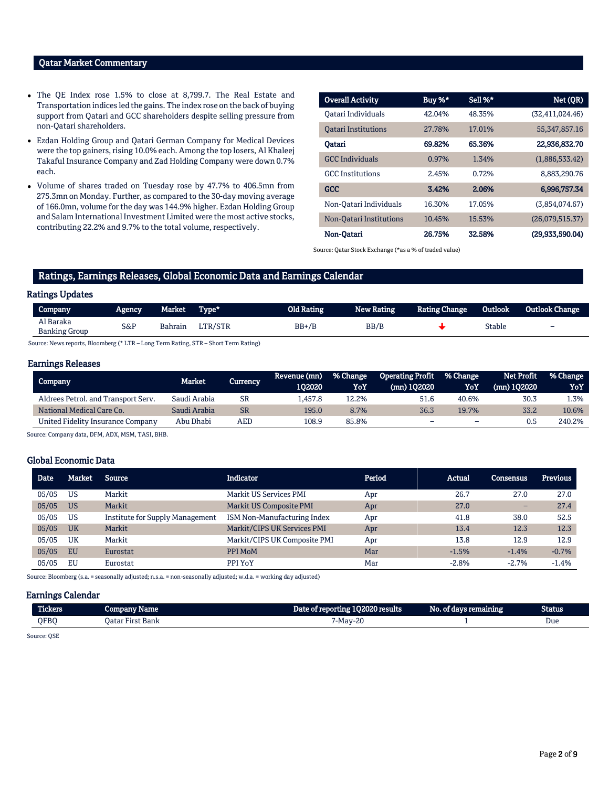# Qatar Market Commentary

- The QE Index rose 1.5% to close at 8,799.7. The Real Estate and Transportation indices led the gains. The index rose on the back of buying support from Qatari and GCC shareholders despite selling pressure from non-Qatari shareholders.
- Ezdan Holding Group and Qatari German Company for Medical Devices were the top gainers, rising 10.0% each. Among the top losers, Al Khaleej Takaful Insurance Company and Zad Holding Company were down 0.7% each.
- Volume of shares traded on Tuesday rose by 47.7% to 406.5mn from 275.3mn on Monday. Further, as compared to the 30-day moving average of 166.0mn, volume for the day was 144.9% higher. Ezdan Holding Group and Salam International Investment Limited were the most active stocks, contributing 22.2% and 9.7% to the total volume, respectively.

| <b>Overall Activity</b>    | Buy %* | Sell %* | Net (QR)           |
|----------------------------|--------|---------|--------------------|
| Oatari Individuals         | 42.04% | 48.35%  | (32, 411, 024, 46) |
| <b>Oatari Institutions</b> | 27.78% | 17.01%  | 55, 347, 857. 16   |
| Oatari                     | 69.82% | 65.36%  | 22,936,832.70      |
| <b>GCC</b> Individuals     | 0.97%  | 1.34%   | (1,886,533.42)     |
| <b>GCC</b> Institutions    | 2.45%  | 0.72%   | 8,883,290.76       |
| <b>GCC</b>                 | 3.42%  | 2.06%   | 6,996,757.34       |
| Non-Qatari Individuals     | 16.30% | 17.05%  | (3,854,074.67)     |
| Non-Oatari Institutions    | 10.45% | 15.53%  | (26,079,515.37)    |
| Non-Oatari                 | 26.75% | 32.58%  | (29,933,590.04)    |

Source: Qatar Stock Exchange (\*as a % of traded value)

# Ratings, Earnings Releases, Global Economic Data and Earnings Calendar

#### Ratings Updates

| Company                           | <b>Agency</b> | Market  | Type*   | Old Rating | <b>New Rating</b> | <b>Rating Change</b> | Outlook       | <b>Outlook Change</b>    |
|-----------------------------------|---------------|---------|---------|------------|-------------------|----------------------|---------------|--------------------------|
| Al Baraka<br><b>Banking Group</b> | S&P           | Bahrain | LTR/STR | $BB+/B$    | BB/B              |                      | <b>Stable</b> | $\overline{\phantom{0}}$ |

Source: News reports, Bloomberg (\* LTR – Long Term Rating, STR – Short Term Rating)

#### Earnings Releases

| Company                             | Market       | Currency, | Revenue (mn)<br>102020 | % Change<br>YoY | <b>Operating Profit</b><br>(mn) 102020 | ■ % Change<br>YoY        | <b>Net Profit</b><br>(mn) 102020 | % Change<br>YoY |
|-------------------------------------|--------------|-----------|------------------------|-----------------|----------------------------------------|--------------------------|----------------------------------|-----------------|
| Aldrees Petrol. and Transport Serv. | Saudi Arabia | <b>SR</b> | .457.8                 | 12.2%           | 51.6                                   | 40.6%                    | 30.3                             | L.3%            |
| National Medical Care Co.           | Saudi Arabia | <b>SR</b> | 195.0                  | 8.7%            | 36.3                                   | 19.7%                    | 33.2                             | 10.6%           |
| United Fidelity Insurance Company   | Abu Dhabi    | AED       | 108.9                  | 85.8%           |                                        | $\overline{\phantom{0}}$ | 0.5                              | 240.2%          |

Source: Company data, DFM, ADX, MSM, TASI, BHB.

### Global Economic Data

| <b>Date</b> | Market    | <b>Source</b>                   | <b>Indicator</b>              | Period | Actual  | <b>Consensus</b> | <b>Previous</b> |
|-------------|-----------|---------------------------------|-------------------------------|--------|---------|------------------|-----------------|
| 05/05       | <b>US</b> | Markit                          | <b>Markit US Services PMI</b> | Apr    | 26.7    | 27.0             | 27.0            |
| 05/05       | <b>US</b> | Markit                          | Markit US Composite PMI       | Apr    | 27.0    | -                | 27.4            |
| 05/05       | <b>US</b> | Institute for Supply Management | ISM Non-Manufacturing Index   | Apr    | 41.8    | 38.0             | 52.5            |
| 05/05       | <b>UK</b> | Markit                          | Markit/CIPS UK Services PMI   | Apr    | 13.4    | 12.3             | 12.3            |
| 05/05       | UK        | Markit                          | Markit/CIPS UK Composite PMI  | Apr    | 13.8    | 12.9             | 12.9            |
| 05/05       | <b>EU</b> | Eurostat                        | PPI MoM                       | Mar    | $-1.5%$ | $-1.4%$          | $-0.7%$         |
| 05/05       | EU        | Eurostat                        | PPI YoY                       | Mar    | $-2.8%$ | $-2.7%$          | $-1.4%$         |

Source: Bloomberg (s.a. = seasonally adjusted; n.s.a. = non-seasonally adjusted; w.d.a. = working day adjusted)

### Earnings Calendar

| <b>Tickers</b> | vame<br><b>ROUDELAY</b> | : 102020 results<br>Date of reporting <b>i</b> | No. of days re<br>remaining | <b>Status</b> |
|----------------|-------------------------|------------------------------------------------|-----------------------------|---------------|
| OFBC           | Oatar First Bank        | nr<br>$7$ -Mav- $\sim$<br>ں_۔                  |                             | Due<br>.      |

Source: QSE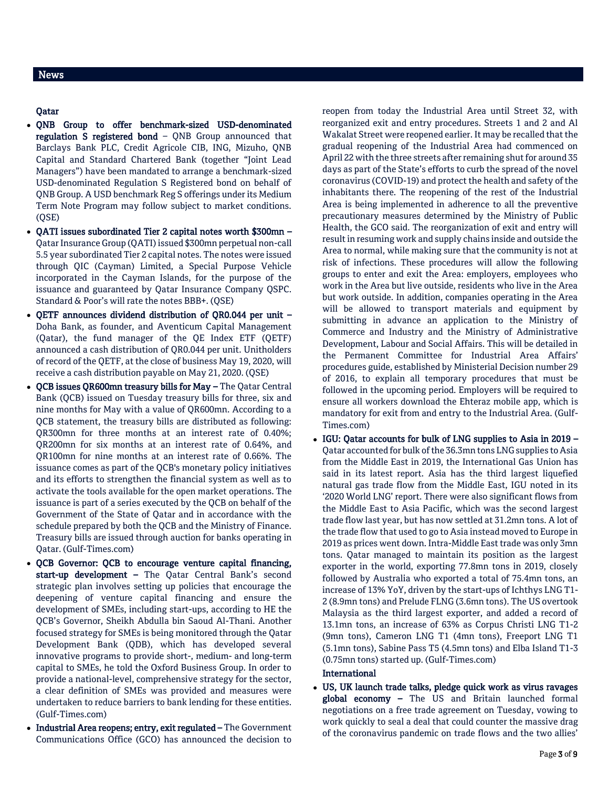# Qatar

- QNB Group to offer benchmark-sized USD-denominated regulation S registered bond – QNB Group announced that Barclays Bank PLC, Credit Agricole CIB, ING, Mizuho, QNB Capital and Standard Chartered Bank (together "Joint Lead Managers") have been mandated to arrange a benchmark-sized USD-denominated Regulation S Registered bond on behalf of QNB Group. A USD benchmark Reg S offerings under its Medium Term Note Program may follow subject to market conditions. (QSE)
- QATI issues subordinated Tier 2 capital notes worth \$300mn Qatar Insurance Group (QATI) issued \$300mn perpetual non-call 5.5 year subordinated Tier 2 capital notes. The notes were issued through QIC (Cayman) Limited, a Special Purpose Vehicle incorporated in the Cayman Islands, for the purpose of the issuance and guaranteed by Qatar Insurance Company QSPC. Standard & Poor's will rate the notes BBB+. (QSE)
- QETF announces dividend distribution of QR0.044 per unit Doha Bank, as founder, and Aventicum Capital Management (Qatar), the fund manager of the QE Index ETF (QETF) announced a cash distribution of QR0.044 per unit. Unitholders of record of the QETF, at the close of business May 19, 2020, will receive a cash distribution payable on May 21, 2020. (QSE)
- QCB issues QR600mn treasury bills for May The Qatar Central Bank (QCB) issued on Tuesday treasury bills for three, six and nine months for May with a value of QR600mn. According to a QCB statement, the treasury bills are distributed as following: QR300mn for three months at an interest rate of 0.40%; QR200mn for six months at an interest rate of 0.64%, and QR100mn for nine months at an interest rate of 0.66%. The issuance comes as part of the QCB's monetary policy initiatives and its efforts to strengthen the financial system as well as to activate the tools available for the open market operations. The issuance is part of a series executed by the QCB on behalf of the Government of the State of Qatar and in accordance with the schedule prepared by both the QCB and the Ministry of Finance. Treasury bills are issued through auction for banks operating in Qatar. (Gulf-Times.com)
- QCB Governor: QCB to encourage venture capital financing, start-up development – The Qatar Central Bank's second strategic plan involves setting up policies that encourage the deepening of venture capital financing and ensure the development of SMEs, including start-ups, according to HE the QCB's Governor, Sheikh Abdulla bin Saoud Al-Thani. Another focused strategy for SMEs is being monitored through the Qatar Development Bank (QDB), which has developed several innovative programs to provide short-, medium- and long-term capital to SMEs, he told the Oxford Business Group. In order to provide a national-level, comprehensive strategy for the sector, a clear definition of SMEs was provided and measures were undertaken to reduce barriers to bank lending for these entities. (Gulf-Times.com)
- Industrial Area reopens; entry, exit regulated The Government Communications Office (GCO) has announced the decision to

reopen from today the Industrial Area until Street 32, with reorganized exit and entry procedures. Streets 1 and 2 and Al Wakalat Street were reopened earlier. It may be recalled that the gradual reopening of the Industrial Area had commenced on April 22 with the three streets after remaining shut for around 35 days as part of the State's efforts to curb the spread of the novel coronavirus (COVID-19) and protect the health and safety of the inhabitants there. The reopening of the rest of the Industrial Area is being implemented in adherence to all the preventive precautionary measures determined by the Ministry of Public Health, the GCO said. The reorganization of exit and entry will result in resuming work and supply chains inside and outside the Area to normal, while making sure that the community is not at risk of infections. These procedures will allow the following groups to enter and exit the Area: employers, employees who work in the Area but live outside, residents who live in the Area but work outside. In addition, companies operating in the Area will be allowed to transport materials and equipment by submitting in advance an application to the Ministry of Commerce and Industry and the Ministry of Administrative Development, Labour and Social Affairs. This will be detailed in the Permanent Committee for Industrial Area Affairs' procedures guide, established by Ministerial Decision number 29 of 2016, to explain all temporary procedures that must be followed in the upcoming period. Employers will be required to ensure all workers download the Ehteraz mobile app, which is mandatory for exit from and entry to the Industrial Area. (Gulf-Times.com)

 IGU: Qatar accounts for bulk of LNG supplies to Asia in 2019 – Qatar accounted for bulk of the 36.3mn tons LNG supplies to Asia from the Middle East in 2019, the International Gas Union has said in its latest report. Asia has the third largest liquefied natural gas trade flow from the Middle East, IGU noted in its '2020 World LNG' report. There were also significant flows from the Middle East to Asia Pacific, which was the second largest trade flow last year, but has now settled at 31.2mn tons. A lot of the trade flow that used to go to Asia instead moved to Europe in 2019 as prices went down. Intra-Middle East trade was only 3mn tons. Qatar managed to maintain its position as the largest exporter in the world, exporting 77.8mn tons in 2019, closely followed by Australia who exported a total of 75.4mn tons, an increase of 13% YoY, driven by the start-ups of Ichthys LNG T1- 2 (8.9mn tons) and Prelude FLNG (3.6mn tons). The US overtook Malaysia as the third largest exporter, and added a record of 13.1mn tons, an increase of 63% as Corpus Christi LNG T1-2 (9mn tons), Cameron LNG T1 (4mn tons), Freeport LNG T1 (5.1mn tons), Sabine Pass T5 (4.5mn tons) and Elba Island T1-3 (0.75mn tons) started up. (Gulf-Times.com)

## International

 US, UK launch trade talks, pledge quick work as virus ravages global economy - The US and Britain launched formal negotiations on a free trade agreement on Tuesday, vowing to work quickly to seal a deal that could counter the massive drag of the coronavirus pandemic on trade flows and the two allies'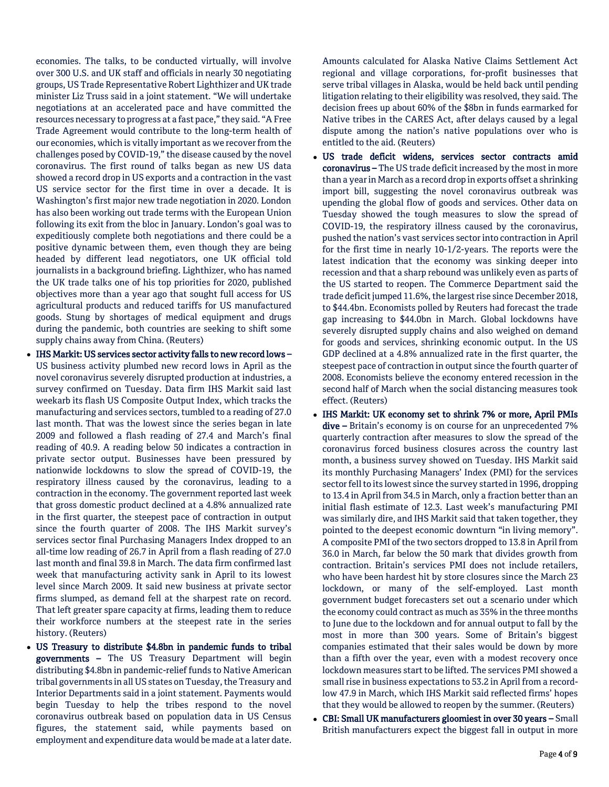economies. The talks, to be conducted virtually, will involve over 300 U.S. and UK staff and officials in nearly 30 negotiating groups, US Trade Representative Robert Lighthizer and UK trade minister Liz Truss said in a joint statement. "We will undertake negotiations at an accelerated pace and have committed the resources necessary to progress at a fast pace," they said. "A Free Trade Agreement would contribute to the long-term health of our economies, which is vitally important as we recover from the challenges posed by COVID-19," the disease caused by the novel coronavirus. The first round of talks began as new US data showed a record drop in US exports and a contraction in the vast US service sector for the first time in over a decade. It is Washington's first major new trade negotiation in 2020. London has also been working out trade terms with the European Union following its exit from the bloc in January. London's goal was to expeditiously complete both negotiations and there could be a positive dynamic between them, even though they are being headed by different lead negotiators, one UK official told journalists in a background briefing. Lighthizer, who has named the UK trade talks one of his top priorities for 2020, published objectives more than a year ago that sought full access for US agricultural products and reduced tariffs for US manufactured goods. Stung by shortages of medical equipment and drugs during the pandemic, both countries are seeking to shift some supply chains away from China. (Reuters)

- IHS Markit: US services sector activity falls to new record lows US business activity plumbed new record lows in April as the novel coronavirus severely disrupted production at industries, a survey confirmed on Tuesday. Data firm IHS Markit said last weekarb its flash US Composite Output Index, which tracks the manufacturing and services sectors, tumbled to a reading of 27.0 last month. That was the lowest since the series began in late 2009 and followed a flash reading of 27.4 and March's final reading of 40.9. A reading below 50 indicates a contraction in private sector output. Businesses have been pressured by nationwide lockdowns to slow the spread of COVID-19, the respiratory illness caused by the coronavirus, leading to a contraction in the economy. The government reported last week that gross domestic product declined at a 4.8% annualized rate in the first quarter, the steepest pace of contraction in output since the fourth quarter of 2008. The IHS Markit survey's services sector final Purchasing Managers Index dropped to an all-time low reading of 26.7 in April from a flash reading of 27.0 last month and final 39.8 in March. The data firm confirmed last week that manufacturing activity sank in April to its lowest level since March 2009. It said new business at private sector firms slumped, as demand fell at the sharpest rate on record. That left greater spare capacity at firms, leading them to reduce their workforce numbers at the steepest rate in the series history. (Reuters)
- US Treasury to distribute \$4.8bn in pandemic funds to tribal governments – The US Treasury Department will begin distributing \$4.8bn in pandemic-relief funds to Native American tribal governments in all US states on Tuesday, the Treasury and Interior Departments said in a joint statement. Payments would begin Tuesday to help the tribes respond to the novel coronavirus outbreak based on population data in US Census figures, the statement said, while payments based on employment and expenditure data would be made at a later date.

Amounts calculated for Alaska Native Claims Settlement Act regional and village corporations, for-profit businesses that serve tribal villages in Alaska, would be held back until pending litigation relating to their eligibility was resolved, they said. The decision frees up about 60% of the \$8bn in funds earmarked for Native tribes in the CARES Act, after delays caused by a legal dispute among the nation's native populations over who is entitled to the aid. (Reuters)

- US trade deficit widens, services sector contracts amid coronavirus – The US trade deficit increased by the most in more than a year in March as a record drop in exports offset a shrinking import bill, suggesting the novel coronavirus outbreak was upending the global flow of goods and services. Other data on Tuesday showed the tough measures to slow the spread of COVID-19, the respiratory illness caused by the coronavirus, pushed the nation's vast services sector into contraction in April for the first time in nearly 10-1/2-years. The reports were the latest indication that the economy was sinking deeper into recession and that a sharp rebound was unlikely even as parts of the US started to reopen. The Commerce Department said the trade deficit jumped 11.6%, the largest rise since December 2018, to \$44.4bn. Economists polled by Reuters had forecast the trade gap increasing to \$44.0bn in March. Global lockdowns have severely disrupted supply chains and also weighed on demand for goods and services, shrinking economic output. In the US GDP declined at a 4.8% annualized rate in the first quarter, the steepest pace of contraction in output since the fourth quarter of 2008. Economists believe the economy entered recession in the second half of March when the social distancing measures took effect. (Reuters)
- IHS Markit: UK economy set to shrink 7% or more, April PMIs dive - Britain's economy is on course for an unprecedented 7% quarterly contraction after measures to slow the spread of the coronavirus forced business closures across the country last month, a business survey showed on Tuesday. IHS Markit said its monthly Purchasing Managers' Index (PMI) for the services sector fell to its lowest since the survey started in 1996, dropping to 13.4 in April from 34.5 in March, only a fraction better than an initial flash estimate of 12.3. Last week's manufacturing PMI was similarly dire, and IHS Markit said that taken together, they pointed to the deepest economic downturn "in living memory". A composite PMI of the two sectors dropped to 13.8 in April from 36.0 in March, far below the 50 mark that divides growth from contraction. Britain's services PMI does not include retailers, who have been hardest hit by store closures since the March 23 lockdown, or many of the self-employed. Last month government budget forecasters set out a scenario under which the economy could contract as much as 35% in the three months to June due to the lockdown and for annual output to fall by the most in more than 300 years. Some of Britain's biggest companies estimated that their sales would be down by more than a fifth over the year, even with a modest recovery once lockdown measures start to be lifted. The services PMI showed a small rise in business expectations to 53.2 in April from a recordlow 47.9 in March, which IHS Markit said reflected firms' hopes that they would be allowed to reopen by the summer. (Reuters)
- CBI: Small UK manufacturers gloomiest in over 30 years Small British manufacturers expect the biggest fall in output in more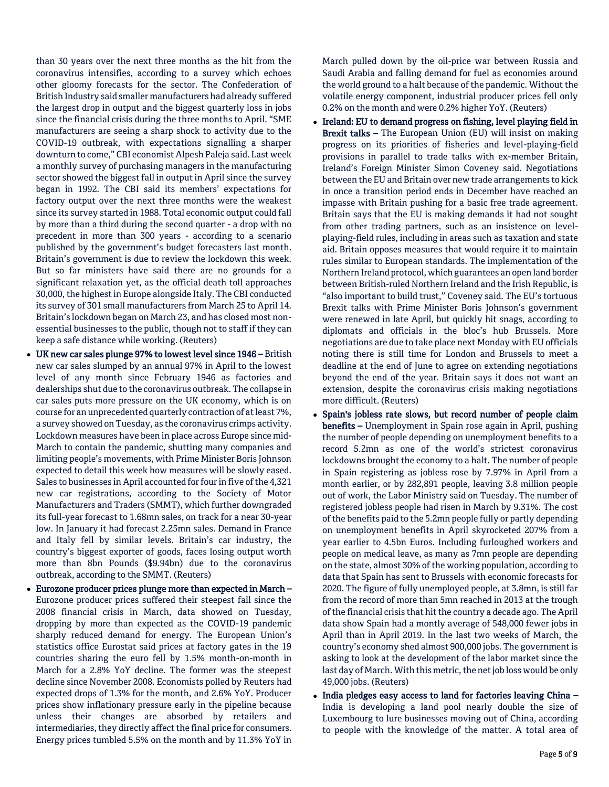than 30 years over the next three months as the hit from the coronavirus intensifies, according to a survey which echoes other gloomy forecasts for the sector. The Confederation of British Industry said smaller manufacturers had already suffered the largest drop in output and the biggest quarterly loss in jobs since the financial crisis during the three months to April. "SME manufacturers are seeing a sharp shock to activity due to the COVID-19 outbreak, with expectations signalling a sharper downturn to come," CBI economist Alpesh Paleja said. Last week a monthly survey of purchasing managers in the manufacturing sector showed the biggest fall in output in April since the survey began in 1992. The CBI said its members' expectations for factory output over the next three months were the weakest since its survey started in 1988. Total economic output could fall by more than a third during the second quarter - a drop with no precedent in more than 300 years - according to a scenario published by the government's budget forecasters last month. Britain's government is due to review the lockdown this week. But so far ministers have said there are no grounds for a significant relaxation yet, as the official death toll approaches 30,000, the highest in Europe alongside Italy. The CBI conducted its survey of 301 small manufacturers from March 25 to April 14. Britain's lockdown began on March 23, and has closed most nonessential businesses to the public, though not to staff if they can keep a safe distance while working. (Reuters)

- UK new car sales plunge 97% to lowest level since 1946 British new car sales slumped by an annual 97% in April to the lowest level of any month since February 1946 as factories and dealerships shut due to the coronavirus outbreak. The collapse in car sales puts more pressure on the UK economy, which is on course for an unprecedented quarterly contraction of at least 7%, a survey showed on Tuesday, as the coronavirus crimps activity. Lockdown measures have been in place across Europe since mid-March to contain the pandemic, shutting many companies and limiting people's movements, with Prime Minister Boris Johnson expected to detail this week how measures will be slowly eased. Sales to businesses in April accounted for four in five of the 4,321 new car registrations, according to the Society of Motor Manufacturers and Traders (SMMT), which further downgraded its full-year forecast to 1.68mn sales, on track for a near 30-year low. In January it had forecast 2.25mn sales. Demand in France and Italy fell by similar levels. Britain's car industry, the country's biggest exporter of goods, faces losing output worth more than 8bn Pounds (\$9.94bn) due to the coronavirus outbreak, according to the SMMT. (Reuters)
- Eurozone producer prices plunge more than expected in March Eurozone producer prices suffered their steepest fall since the 2008 financial crisis in March, data showed on Tuesday, dropping by more than expected as the COVID-19 pandemic sharply reduced demand for energy. The European Union's statistics office Eurostat said prices at factory gates in the 19 countries sharing the euro fell by 1.5% month-on-month in March for a 2.8% YoY decline. The former was the steepest decline since November 2008. Economists polled by Reuters had expected drops of 1.3% for the month, and 2.6% YoY. Producer prices show inflationary pressure early in the pipeline because unless their changes are absorbed by retailers and intermediaries, they directly affect the final price for consumers. Energy prices tumbled 5.5% on the month and by 11.3% YoY in

March pulled down by the oil-price war between Russia and Saudi Arabia and falling demand for fuel as economies around the world ground to a halt because of the pandemic. Without the volatile energy component, industrial producer prices fell only 0.2% on the month and were 0.2% higher YoY. (Reuters)

- Ireland: EU to demand progress on fishing, level playing field in Brexit talks - The European Union (EU) will insist on making progress on its priorities of fisheries and level-playing-field provisions in parallel to trade talks with ex-member Britain, Ireland's Foreign Minister Simon Coveney said. Negotiations between the EU and Britain over new trade arrangements to kick in once a transition period ends in December have reached an impasse with Britain pushing for a basic free trade agreement. Britain says that the EU is making demands it had not sought from other trading partners, such as an insistence on levelplaying-field rules, including in areas such as taxation and state aid. Britain opposes measures that would require it to maintain rules similar to European standards. The implementation of the Northern Ireland protocol, which guarantees an open land border between British-ruled Northern Ireland and the Irish Republic, is "also important to build trust," Coveney said. The EU's tortuous Brexit talks with Prime Minister Boris Johnson's government were renewed in late April, but quickly hit snags, according to diplomats and officials in the bloc's hub Brussels. More negotiations are due to take place next Monday with EU officials noting there is still time for London and Brussels to meet a deadline at the end of June to agree on extending negotiations beyond the end of the year. Britain says it does not want an extension, despite the coronavirus crisis making negotiations more difficult. (Reuters)
- Spain's jobless rate slows, but record number of people claim benefits - Unemployment in Spain rose again in April, pushing the number of people depending on unemployment benefits to a record 5.2mn as one of the world's strictest coronavirus lockdowns brought the economy to a halt. The number of people in Spain registering as jobless rose by 7.97% in April from a month earlier, or by 282,891 people, leaving 3.8 million people out of work, the Labor Ministry said on Tuesday. The number of registered jobless people had risen in March by 9.31%. The cost of the benefits paid to the 5.2mn people fully or partly depending on unemployment benefits in April skyrocketed 207% from a year earlier to 4.5bn Euros. Including furloughed workers and people on medical leave, as many as 7mn people are depending on the state, almost 30% of the working population, according to data that Spain has sent to Brussels with economic forecasts for 2020. The figure of fully unemployed people, at 3.8mn, is still far from the record of more than 5mn reached in 2013 at the trough of the financial crisis that hit the country a decade ago. The April data show Spain had a montly average of 548,000 fewer jobs in April than in April 2019. In the last two weeks of March, the country's economy shed almost 900,000 jobs. The government is asking to look at the development of the labor market since the last day of March. With this metric, the net job loss would be only 49,000 jobs. (Reuters)
- India pledges easy access to land for factories leaving China India is developing a land pool nearly double the size of Luxembourg to lure businesses moving out of China, according to people with the knowledge of the matter. A total area of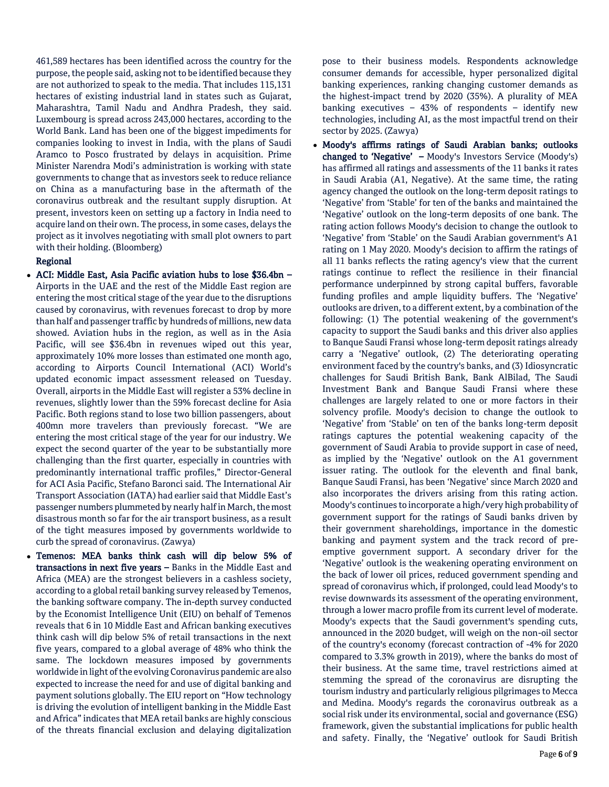461,589 hectares has been identified across the country for the purpose, the people said, asking not to be identified because they are not authorized to speak to the media. That includes 115,131 hectares of existing industrial land in states such as Gujarat, Maharashtra, Tamil Nadu and Andhra Pradesh, they said. Luxembourg is spread across 243,000 hectares, according to the World Bank. Land has been one of the biggest impediments for companies looking to invest in India, with the plans of Saudi Aramco to Posco frustrated by delays in acquisition. Prime Minister Narendra Modi's administration is working with state governments to change that as investors seek to reduce reliance on China as a manufacturing base in the aftermath of the coronavirus outbreak and the resultant supply disruption. At present, investors keen on setting up a factory in India need to acquire land on their own. The process, in some cases, delays the project as it involves negotiating with small plot owners to part with their holding. (Bloomberg)

# Regional

- ACI: Middle East, Asia Pacific aviation hubs to lose \$36.4bn Airports in the UAE and the rest of the Middle East region are entering the most critical stage of the year due to the disruptions caused by coronavirus, with revenues forecast to drop by more than half and passenger traffic by hundreds of millions, new data showed. Aviation hubs in the region, as well as in the Asia Pacific, will see \$36.4bn in revenues wiped out this year, approximately 10% more losses than estimated one month ago, according to Airports Council International (ACI) World's updated economic impact assessment released on Tuesday. Overall, airports in the Middle East will register a 53% decline in revenues, slightly lower than the 59% forecast decline for Asia Pacific. Both regions stand to lose two billion passengers, about 400mn more travelers than previously forecast. "We are entering the most critical stage of the year for our industry. We expect the second quarter of the year to be substantially more challenging than the first quarter, especially in countries with predominantly international traffic profiles," Director-General for ACI Asia Pacific, Stefano Baronci said. The International Air Transport Association (IATA) had earlier said that Middle East's passenger numbers plummeted by nearly half in March, the most disastrous month so far for the air transport business, as a result of the tight measures imposed by governments worldwide to curb the spread of coronavirus. (Zawya)
- Temenos: MEA banks think cash will dip below 5% of transactions in next five years – Banks in the Middle East and Africa (MEA) are the strongest believers in a cashless society, according to a global retail banking survey released by Temenos, the banking software company. The in-depth survey conducted by the Economist Intelligence Unit (EIU) on behalf of Temenos reveals that 6 in 10 Middle East and African banking executives think cash will dip below 5% of retail transactions in the next five years, compared to a global average of 48% who think the same. The lockdown measures imposed by governments worldwide in light of the evolving Coronavirus pandemic are also expected to increase the need for and use of digital banking and payment solutions globally. The EIU report on "How technology is driving the evolution of intelligent banking in the Middle East and Africa" indicates that MEA retail banks are highly conscious of the threats financial exclusion and delaying digitalization

pose to their business models. Respondents acknowledge consumer demands for accessible, hyper personalized digital banking experiences, ranking changing customer demands as the highest-impact trend by 2020 (35%). A plurality of MEA banking executives  $-$  43% of respondents  $-$  identify new technologies, including AI, as the most impactful trend on their sector by 2025. (Zawya)

 Moody's affirms ratings of Saudi Arabian banks; outlooks changed to 'Negative' – Moody's Investors Service (Moody's) has affirmed all ratings and assessments of the 11 banks it rates in Saudi Arabia (A1, Negative). At the same time, the rating agency changed the outlook on the long-term deposit ratings to 'Negative' from 'Stable' for ten of the banks and maintained the 'Negative' outlook on the long-term deposits of one bank. The rating action follows Moody's decision to change the outlook to 'Negative' from 'Stable' on the Saudi Arabian government's A1 rating on 1 May 2020. Moody's decision to affirm the ratings of all 11 banks reflects the rating agency's view that the current ratings continue to reflect the resilience in their financial performance underpinned by strong capital buffers, favorable funding profiles and ample liquidity buffers. The 'Negative' outlooks are driven, to a different extent, by a combination of the following: (1) The potential weakening of the government's capacity to support the Saudi banks and this driver also applies to Banque Saudi Fransi whose long-term deposit ratings already carry a 'Negative' outlook, (2) The deteriorating operating environment faced by the country's banks, and (3) Idiosyncratic challenges for Saudi British Bank, Bank AlBilad, The Saudi Investment Bank and Banque Saudi Fransi where these challenges are largely related to one or more factors in their solvency profile. Moody's decision to change the outlook to 'Negative' from 'Stable' on ten of the banks long-term deposit ratings captures the potential weakening capacity of the government of Saudi Arabia to provide support in case of need, as implied by the 'Negative' outlook on the A1 government issuer rating. The outlook for the eleventh and final bank, Banque Saudi Fransi, has been 'Negative' since March 2020 and also incorporates the drivers arising from this rating action. Moody's continues to incorporate a high/very high probability of government support for the ratings of Saudi banks driven by their government shareholdings, importance in the domestic banking and payment system and the track record of preemptive government support. A secondary driver for the 'Negative' outlook is the weakening operating environment on the back of lower oil prices, reduced government spending and spread of coronavirus which, if prolonged, could lead Moody's to revise downwards its assessment of the operating environment, through a lower macro profile from its current level of moderate. Moody's expects that the Saudi government's spending cuts, announced in the 2020 budget, will weigh on the non-oil sector of the country's economy (forecast contraction of -4% for 2020 compared to 3.3% growth in 2019), where the banks do most of their business. At the same time, travel restrictions aimed at stemming the spread of the coronavirus are disrupting the tourism industry and particularly religious pilgrimages to Mecca and Medina. Moody's regards the coronavirus outbreak as a social risk under its environmental, social and governance (ESG) framework, given the substantial implications for public health and safety. Finally, the 'Negative' outlook for Saudi British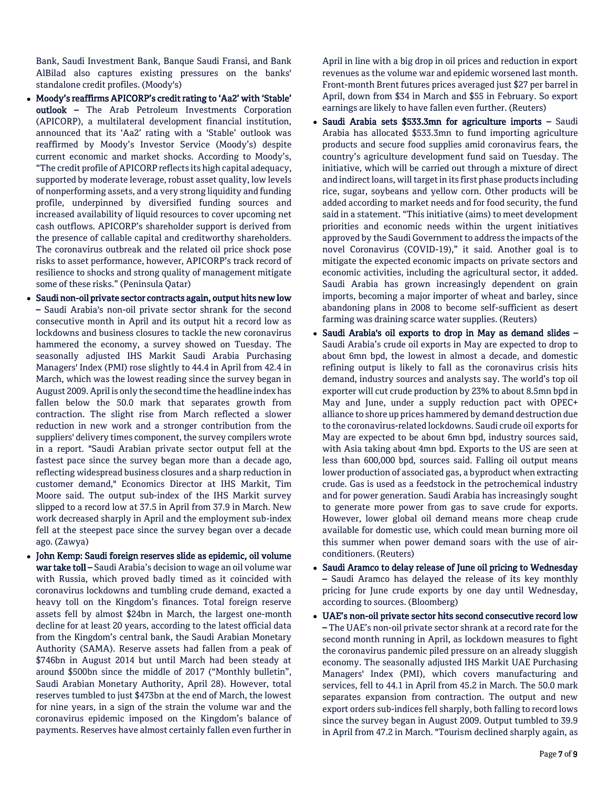Bank, Saudi Investment Bank, Banque Saudi Fransi, and Bank AlBilad also captures existing pressures on the banks' standalone credit profiles. (Moody's)

- Moody's reaffirms APICORP's credit rating to 'Aa2' with 'Stable' outlook - The Arab Petroleum Investments Corporation (APICORP), a multilateral development financial institution, announced that its 'Aa2' rating with a 'Stable' outlook was reaffirmed by Moody's Investor Service (Moody's) despite current economic and market shocks. According to Moody's, "The credit profile of APICORP reflects its high capital adequacy, supported by moderate leverage, robust asset quality, low levels of nonperforming assets, and a very strong liquidity and funding profile, underpinned by diversified funding sources and increased availability of liquid resources to cover upcoming net cash outflows. APICORP's shareholder support is derived from the presence of callable capital and creditworthy shareholders. The coronavirus outbreak and the related oil price shock pose risks to asset performance, however, APICORP's track record of resilience to shocks and strong quality of management mitigate some of these risks." (Peninsula Qatar)
- Saudi non-oil private sector contracts again, output hits new low – Saudi Arabia's non-oil private sector shrank for the second consecutive month in April and its output hit a record low as lockdowns and business closures to tackle the new coronavirus hammered the economy, a survey showed on Tuesday. The seasonally adjusted IHS Markit Saudi Arabia Purchasing Managers' Index (PMI) rose slightly to 44.4 in April from 42.4 in March, which was the lowest reading since the survey began in August 2009. April is only the second time the headline index has fallen below the 50.0 mark that separates growth from contraction. The slight rise from March reflected a slower reduction in new work and a stronger contribution from the suppliers' delivery times component, the survey compilers wrote in a report. "Saudi Arabian private sector output fell at the fastest pace since the survey began more than a decade ago, reflecting widespread business closures and a sharp reduction in customer demand," Economics Director at IHS Markit, Tim Moore said. The output sub-index of the IHS Markit survey slipped to a record low at 37.5 in April from 37.9 in March. New work decreased sharply in April and the employment sub-index fell at the steepest pace since the survey began over a decade ago. (Zawya)
- John Kemp: Saudi foreign reserves slide as epidemic, oil volume war take toll – Saudi Arabia's decision to wage an oil volume war with Russia, which proved badly timed as it coincided with coronavirus lockdowns and tumbling crude demand, exacted a heavy toll on the Kingdom's finances. Total foreign reserve assets fell by almost \$24bn in March, the largest one-month decline for at least 20 years, according to the latest official data from the Kingdom's central bank, the Saudi Arabian Monetary Authority (SAMA). Reserve assets had fallen from a peak of \$746bn in August 2014 but until March had been steady at around \$500bn since the middle of 2017 ("Monthly bulletin", Saudi Arabian Monetary Authority, April 28). However, total reserves tumbled to just \$473bn at the end of March, the lowest for nine years, in a sign of the strain the volume war and the coronavirus epidemic imposed on the Kingdom's balance of payments. Reserves have almost certainly fallen even further in

April in line with a big drop in oil prices and reduction in export revenues as the volume war and epidemic worsened last month. Front-month Brent futures prices averaged just \$27 per barrel in April, down from \$34 in March and \$55 in February. So export earnings are likely to have fallen even further. (Reuters)

- Saudi Arabia sets \$533.3mn for agriculture imports Saudi Arabia has allocated \$533.3mn to fund importing agriculture products and secure food supplies amid coronavirus fears, the country's agriculture development fund said on Tuesday. The initiative, which will be carried out through a mixture of direct and indirect loans, will target in its first phase products including rice, sugar, soybeans and yellow corn. Other products will be added according to market needs and for food security, the fund said in a statement. "This initiative (aims) to meet development priorities and economic needs within the urgent initiatives approved by the Saudi Government to address the impacts of the novel Coronavirus (COVID-19)," it said. Another goal is to mitigate the expected economic impacts on private sectors and economic activities, including the agricultural sector, it added. Saudi Arabia has grown increasingly dependent on grain imports, becoming a major importer of wheat and barley, since abandoning plans in 2008 to become self-sufficient as desert farming was draining scarce water supplies. (Reuters)
- Saudi Arabia's oil exports to drop in May as demand slides Saudi Arabia's crude oil exports in May are expected to drop to about 6mn bpd, the lowest in almost a decade, and domestic refining output is likely to fall as the coronavirus crisis hits demand, industry sources and analysts say. The world's top oil exporter will cut crude production by 23% to about 8.5mn bpd in May and June, under a supply reduction pact with OPEC+ alliance to shore up prices hammered by demand destruction due to the coronavirus-related lockdowns. Saudi crude oil exports for May are expected to be about 6mn bpd, industry sources said, with Asia taking about 4mn bpd. Exports to the US are seen at less than 600,000 bpd, sources said. Falling oil output means lower production of associated gas, a byproduct when extracting crude. Gas is used as a feedstock in the petrochemical industry and for power generation. Saudi Arabia has increasingly sought to generate more power from gas to save crude for exports. However, lower global oil demand means more cheap crude available for domestic use, which could mean burning more oil this summer when power demand soars with the use of airconditioners. (Reuters)
- Saudi Aramco to delay release of June oil pricing to Wednesday – Saudi Aramco has delayed the release of its key monthly pricing for June crude exports by one day until Wednesday, according to sources. (Bloomberg)
- UAE's non-oil private sector hits second consecutive record low – The UAE's non-oil private sector shrank at a record rate for the second month running in April, as lockdown measures to fight the coronavirus pandemic piled pressure on an already sluggish economy. The seasonally adjusted IHS Markit UAE Purchasing Managers' Index (PMI), which covers manufacturing and services, fell to 44.1 in April from 45.2 in March. The 50.0 mark separates expansion from contraction. The output and new export orders sub-indices fell sharply, both falling to record lows since the survey began in August 2009. Output tumbled to 39.9 in April from 47.2 in March. "Tourism declined sharply again, as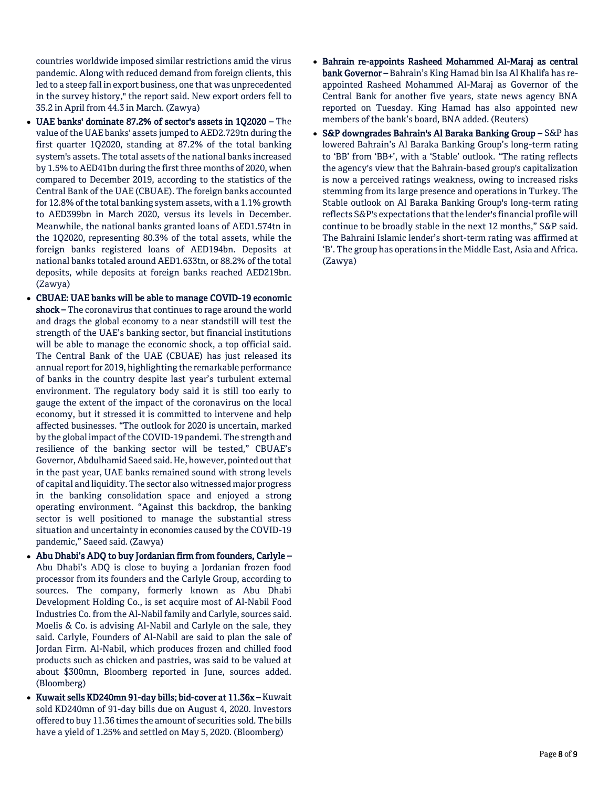countries worldwide imposed similar restrictions amid the virus pandemic. Along with reduced demand from foreign clients, this led to a steep fall in export business, one that was unprecedented in the survey history," the report said. New export orders fell to 35.2 in April from 44.3 in March. (Zawya)

- UAE banks' dominate 87.2% of sector's assets in 1Q2020 The value of the UAE banks' assets jumped to AED2.729tn during the first quarter 1Q2020, standing at 87.2% of the total banking system's assets. The total assets of the national banks increased by 1.5% to AED41bn during the first three months of 2020, when compared to December 2019, according to the statistics of the Central Bank of the UAE (CBUAE). The foreign banks accounted for 12.8% of the total banking system assets, with a 1.1% growth to AED399bn in March 2020, versus its levels in December. Meanwhile, the national banks granted loans of AED1.574tn in the 1Q2020, representing 80.3% of the total assets, while the foreign banks registered loans of AED194bn. Deposits at national banks totaled around AED1.633tn, or 88.2% of the total deposits, while deposits at foreign banks reached AED219bn. (Zawya)
- CBUAE: UAE banks will be able to manage COVID-19 economic shock – The coronavirus that continues to rage around the world and drags the global economy to a near standstill will test the strength of the UAE's banking sector, but financial institutions will be able to manage the economic shock, a top official said. The Central Bank of the UAE (CBUAE) has just released its annual report for 2019, highlighting the remarkable performance of banks in the country despite last year's turbulent external environment. The regulatory body said it is still too early to gauge the extent of the impact of the coronavirus on the local economy, but it stressed it is committed to intervene and help affected businesses. "The outlook for 2020 is uncertain, marked by the global impact of the COVID-19 pandemi. The strength and resilience of the banking sector will be tested," CBUAE's Governor, Abdulhamid Saeed said. He, however, pointed out that in the past year, UAE banks remained sound with strong levels of capital and liquidity. The sector also witnessed major progress in the banking consolidation space and enjoyed a strong operating environment. "Against this backdrop, the banking sector is well positioned to manage the substantial stress situation and uncertainty in economies caused by the COVID-19 pandemic," Saeed said. (Zawya)
- Abu Dhabi's ADQ to buy Jordanian firm from founders, Carlyle Abu Dhabi's ADQ is close to buying a Jordanian frozen food processor from its founders and the Carlyle Group, according to sources. The company, formerly known as Abu Dhabi Development Holding Co., is set acquire most of Al-Nabil Food Industries Co. from the Al-Nabil family and Carlyle, sources said. Moelis & Co. is advising Al-Nabil and Carlyle on the sale, they said. Carlyle, Founders of Al-Nabil are said to plan the sale of Jordan Firm. Al-Nabil, which produces frozen and chilled food products such as chicken and pastries, was said to be valued at about \$300mn, Bloomberg reported in June, sources added. (Bloomberg)
- Kuwait sells KD240mn 91-day bills; bid-cover at 11.36x Kuwait sold KD240mn of 91-day bills due on August 4, 2020. Investors offered to buy 11.36 times the amount of securities sold. The bills have a yield of 1.25% and settled on May 5, 2020. (Bloomberg)
- Bahrain re-appoints Rasheed Mohammed Al-Maraj as central bank Governor – Bahrain's King Hamad bin Isa Al Khalifa has reappointed Rasheed Mohammed Al-Maraj as Governor of the Central Bank for another five years, state news agency BNA reported on Tuesday. King Hamad has also appointed new members of the bank's board, BNA added. (Reuters)
- S&P downgrades Bahrain's Al Baraka Banking Group S&P has lowered Bahrain's Al Baraka Banking Group's long-term rating to 'BB' from 'BB+', with a 'Stable' outlook. "The rating reflects the agency's view that the Bahrain-based group's capitalization is now a perceived ratings weakness, owing to increased risks stemming from its large presence and operations in Turkey. The Stable outlook on Al Baraka Banking Group's long-term rating reflects S&P's expectations that the lender's financial profile will continue to be broadly stable in the next 12 months," S&P said. The Bahraini Islamic lender's short-term rating was affirmed at 'B'. The group has operations in the Middle East, Asia and Africa. (Zawya)